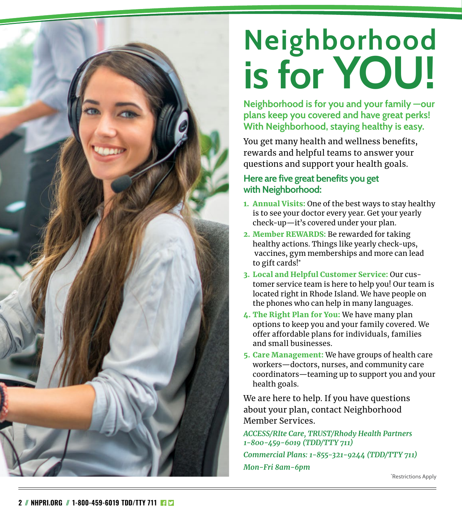# **Neighborhood is for YOU!**

**Neighborhood is for you and your family —our plans keep you covered and have great perks! With Neighborhood, staying healthy is easy.**

You get many health and wellness benefits, rewards and helpful teams to answer your questions and support your health goals.

### **Here are five great benefits you get with Neighborhood:**

- 1. Annual Visits: One of the best ways to stay healthy is to see your doctor every year. Get your yearly check-up—it's covered under your plan.
- 2. Member REWARDS: Be rewarded for taking healthy actions. Things like yearly check-ups, vaccines, gym memberships and more can lead to gift cards!\*
- 3. Local and Helpful Customer Service: Our customer service team is here to help you! Our team is located right in Rhode Island. We have people on the phones who can help in many languages.
- 4. The Right Plan for You: We have many plan options to keep you and your family covered. We offer affordable plans for individuals, families and small businesses.
- 5. Care Management: We have groups of health care workers—doctors, nurses, and community care coordinators—teaming up to support you and your health goals.

We are here to help. If you have questions about your plan, contact Neighborhood Member Services.

*ACCESS/RIte Care, TRUST/Rhody Health Partners 1-800-459-6019 (TDD/TTY 711) Commercial Plans: 1-855-321-9244 (TDD/TTY 711) Mon-Fri 8am-6pm*

\* Restrictions Apply

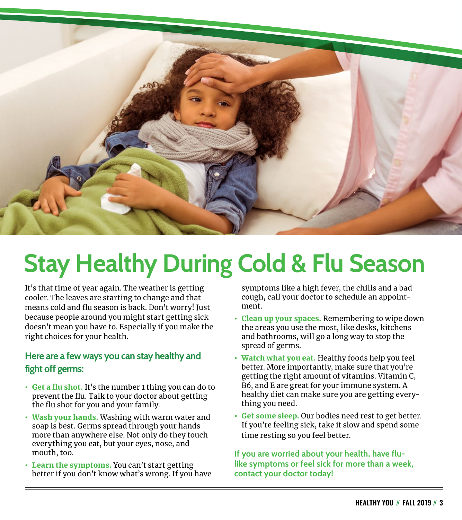![](_page_2_Picture_0.jpeg)

## **Stay Healthy During Cold & Flu Season**

It's that time of year again. The weather is getting cooler. The leaves are starting to change and that means cold and flu season is back. Don't worry! Just because people around you might start getting sick doesn't mean you have to. Especially if you make the right choices for your health.

### **Here are a few ways you can stay healthy and fight off germs:**

- Get a flu shot. It's the number 1 thing you can do to prevent the flu. Talk to your doctor about getting the flu shot for you and your family.
- Wash your hands. Washing with warm water and soap is best. Germs spread through your hands more than anywhere else. Not only do they touch everything you eat, but your eyes, nose, and mouth, too.
- Learn the symptoms. You can't start getting better if you don't know what's wrong. If you have

symptoms like a high fever, the chills and a bad cough, call your doctor to schedule an appointment.

- Clean up your spaces. Remembering to wipe down the areas you use the most, like desks, kitchens and bathrooms, will go a long way to stop the spread of germs.
- Watch what you eat. Healthy foods help you feel better. More importantly, make sure that you're getting the right amount of vitamins. Vitamin C, B6, and E are great for your immune system. A healthy diet can make sure you are getting everything you need.
- Get some sleep. Our bodies need rest to get better. If you're feeling sick, take it slow and spend some time resting so you feel better.

**If you are worried about your health, have flulike symptoms or feel sick for more than a week, contact your doctor today!**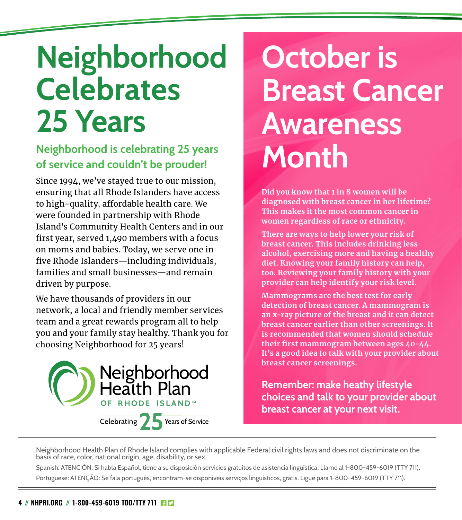## **Neighborhood Celebrates 25 Years**

### **Neighborhood is celebrating 25 years of service and couldn't be prouder!**

Since 1994, we've stayed true to our mission, ensuring that all Rhode Islanders have access to high-quality, affordable health care. We were founded in partnership with Rhode Island's Community Health Centers and in our first year, served 1,490 members with a focus on moms and babies. Today, we serve one in five Rhode Islanders—including individuals, families and small businesses—and remain driven by purpose.

We have thousands of providers in our network, a local and friendly member services team and a great rewards program all to help you and your family stay healthy. Thank you for choosing Neighborhood for 25 years!

![](_page_3_Picture_4.jpeg)

## **October is Breast Cancer Awareness Month**

**Did you know that 1 in 8 women will be diagnosed with breast cancer in her lifetime? This makes it the most common cancer in women regardless of race or ethnicity.** 

**There are ways to help lower your risk of breast cancer. This includes drinking less alcohol, exercising more and having a healthy diet. Knowing your family history can help, too. Reviewing your family history with your provider can help identify your risk level.**

**Mammograms are the best test for early detection of breast cancer. A mammogram is an x-ray picture of the breast and it can detect breast cancer earlier than other screenings. It is recommended that women should schedule their first mammogram between ages 40-44. It's a good idea to talk with your provider about breast cancer screenings.** 

**Remember: make heathy lifestyle choices and talk to your provider about breast cancer at your next visit.**

Neighborhood Health Plan of Rhode Island complies with applicable Federal civil rights laws and does not discriminate on the basis of race, color, national origin, age, disability, or sex.

Spanish: ATENCIÓN: Si habla Español, tiene a su disposición servicios gratuitos de asistencia lingüística. Llame al 1-800-459-6019 (TTY 711). Portuguese: ATENÇÃO: Se fala português, encontram-se disponíveis serviços linguísticos, grátis. Ligue para 1-800-459-6019 (TTY 711).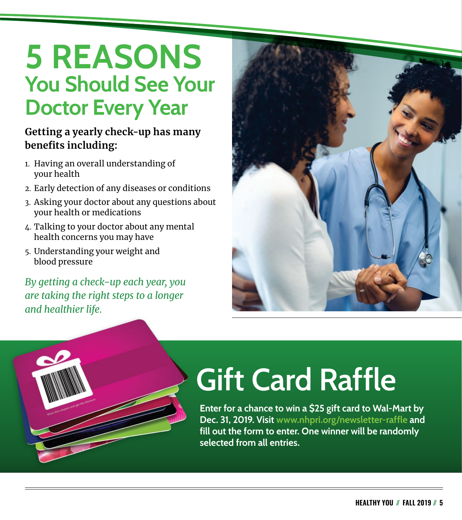### **5 REASONS You Should See Your Doctor Every Year**

### **Getting a yearly check-up has many benefits including:**

- 1. Having an overall understanding of your health
- 2. Early detection of any diseases or conditions
- 3. Asking your doctor about any questions about your health or medications
- 4. Talking to your doctor about any mental health concerns you may have
- 5. Understanding your weight and blood pressure

*By getting a check-up each year, you are taking the right steps to a longer and healthier life.*

![](_page_4_Picture_8.jpeg)

![](_page_4_Picture_9.jpeg)

# **Gift Card Raffle**

**Enter for a chance to win a \$25 gift card to Wal-Mart by Dec. 31, 2019. Visit [www.nhpri.org/newsletter-raffle](http://www.nhpri.org/newsletter-raffle) and fill out the form to enter. One winner will be randomly selected from all entries.**